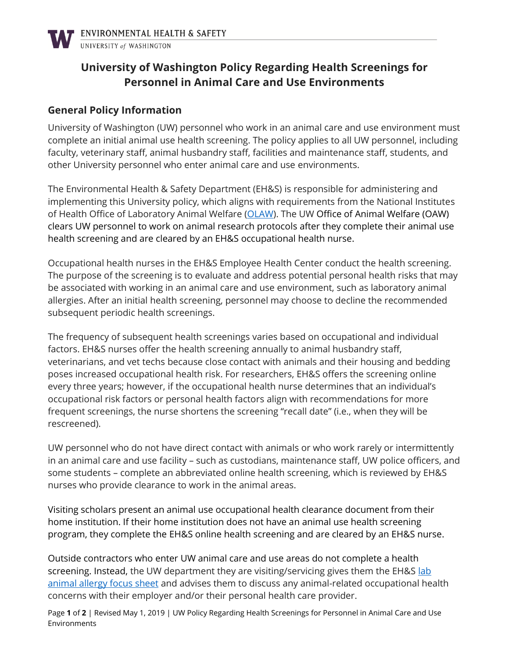

## **University of Washington Policy Regarding Health Screenings for Personnel in Animal Care and Use Environments**

## **General Policy Information**

University of Washington (UW) personnel who work in an animal care and use environment must complete an initial animal use health screening. The policy applies to all UW personnel, including faculty, veterinary staff, animal husbandry staff, facilities and maintenance staff, students, and other University personnel who enter animal care and use environments.

The Environmental Health & Safety Department (EH&S) is responsible for administering and implementing this University policy, which aligns with requirements from the National Institutes of Health Office of Laboratory Animal Welfare [\(OLAW\)](https://olaw.nih.gov/home.htm). The UW Office of Animal Welfare (OAW) clears UW personnel to work on animal research protocols after they complete their animal use health screening and are cleared by an EH&S occupational health nurse.

Occupational health nurses in the EH&S Employee Health Center conduct the health screening. The purpose of the screening is to evaluate and address potential personal health risks that may be associated with working in an animal care and use environment, such as laboratory animal allergies. After an initial health screening, personnel may choose to decline the recommended subsequent periodic health screenings.

The frequency of subsequent health screenings varies based on occupational and individual factors. EH&S nurses offer the health screening annually to animal husbandry staff, veterinarians, and vet techs because close contact with animals and their housing and bedding poses increased occupational health risk. For researchers, EH&S offers the screening online every three years; however, if the occupational health nurse determines that an individual's occupational risk factors or personal health factors align with recommendations for more frequent screenings, the nurse shortens the screening "recall date" (i.e., when they will be rescreened).

UW personnel who do not have direct contact with animals or who work rarely or intermittently in an animal care and use facility – such as custodians, maintenance staff, UW police officers, and some students – complete an abbreviated online health screening, which is reviewed by EH&S nurses who provide clearance to work in the animal areas.

Visiting scholars present an animal use occupational health clearance document from their home institution. If their home institution does not have an animal use health screening program, they complete the EH&S online health screening and are cleared by an EH&S nurse.

Outside contractors who enter UW animal care and use areas do not complete a health screening. Instead, the UW department they are visiting/servicing gives them the EH&S lab [animal allergy focus sheet](https://www.ehs.washington.edu/system/files/resources/lab-animal-allergens.pdf) and advises them to discuss any animal-related occupational health concerns with their employer and/or their personal health care provider.

Page **1** of **2** | Revised May 1, 2019 | UW Policy Regarding Health Screenings for Personnel in Animal Care and Use Environments